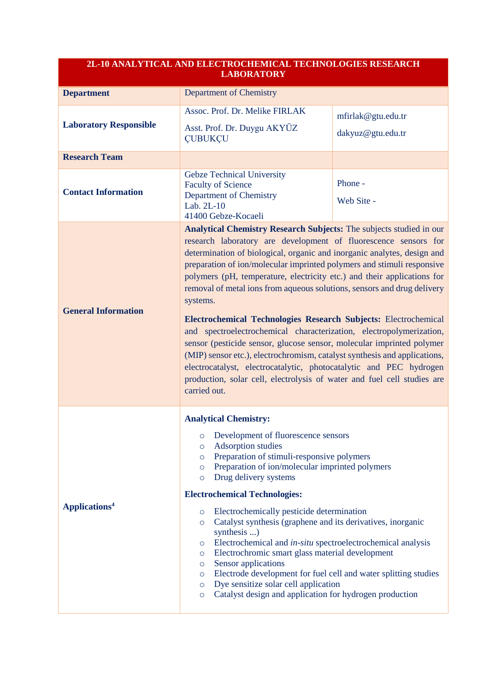| <b>2L-10 ANALYTICAL AND ELECTROCHEMICAL TECHNOLOGIES RESEARCH</b><br><b>LABORATORY</b> |                                                                                                                                                                                                                                                                                                                                                                                                                                                                                                                                                                                                                                                                                                                                                                                                                                                                                                                                |                                         |
|----------------------------------------------------------------------------------------|--------------------------------------------------------------------------------------------------------------------------------------------------------------------------------------------------------------------------------------------------------------------------------------------------------------------------------------------------------------------------------------------------------------------------------------------------------------------------------------------------------------------------------------------------------------------------------------------------------------------------------------------------------------------------------------------------------------------------------------------------------------------------------------------------------------------------------------------------------------------------------------------------------------------------------|-----------------------------------------|
| <b>Department</b>                                                                      | <b>Department of Chemistry</b>                                                                                                                                                                                                                                                                                                                                                                                                                                                                                                                                                                                                                                                                                                                                                                                                                                                                                                 |                                         |
| <b>Laboratory Responsible</b>                                                          | Assoc. Prof. Dr. Melike FIRLAK<br>Asst. Prof. Dr. Duygu AKYÜZ<br><b>CUBUKCU</b>                                                                                                                                                                                                                                                                                                                                                                                                                                                                                                                                                                                                                                                                                                                                                                                                                                                | mfirlak@gtu.edu.tr<br>dakyuz@gtu.edu.tr |
| <b>Research Team</b>                                                                   |                                                                                                                                                                                                                                                                                                                                                                                                                                                                                                                                                                                                                                                                                                                                                                                                                                                                                                                                |                                         |
| <b>Contact Information</b>                                                             | <b>Gebze Technical University</b><br><b>Faculty of Science</b><br>Department of Chemistry<br>Lab. 2L-10<br>41400 Gebze-Kocaeli                                                                                                                                                                                                                                                                                                                                                                                                                                                                                                                                                                                                                                                                                                                                                                                                 | Phone -<br>Web Site -                   |
| <b>General Information</b>                                                             | Analytical Chemistry Research Subjects: The subjects studied in our<br>research laboratory are development of fluorescence sensors for<br>determination of biological, organic and inorganic analytes, design and<br>preparation of ion/molecular imprinted polymers and stimuli responsive<br>polymers (pH, temperature, electricity etc.) and their applications for<br>removal of metal ions from aqueous solutions, sensors and drug delivery<br>systems.<br>Electrochemical Technologies Research Subjects: Electrochemical<br>and spectroelectrochemical characterization, electropolymerization,<br>sensor (pesticide sensor, glucose sensor, molecular imprinted polymer<br>(MIP) sensor etc.), electrochromism, catalyst synthesis and applications,<br>electrocatalyst, electrocatalytic, photocatalytic and PEC hydrogen<br>production, solar cell, electrolysis of water and fuel cell studies are<br>carried out. |                                         |
| Applications <sup>4</sup>                                                              | <b>Analytical Chemistry:</b><br>Development of fluorescence sensors<br>$\circ$<br>Adsorption studies<br>$\circ$<br>Preparation of stimuli-responsive polymers<br>$\circ$<br>Preparation of ion/molecular imprinted polymers<br>$\circ$<br>Drug delivery systems<br>$\circ$<br><b>Electrochemical Technologies:</b><br>Electrochemically pesticide determination<br>$\circ$<br>Catalyst synthesis (graphene and its derivatives, inorganic<br>$\circ$<br>synthesis)<br>Electrochemical and <i>in-situ</i> spectroelectrochemical analysis<br>$\circ$<br>Electrochromic smart glass material development<br>$\circ$<br>Sensor applications<br>$\circ$<br>Electrode development for fuel cell and water splitting studies<br>$\circ$<br>Dye sensitize solar cell application<br>$\circ$<br>Catalyst design and application for hydrogen production<br>$\circ$                                                                     |                                         |